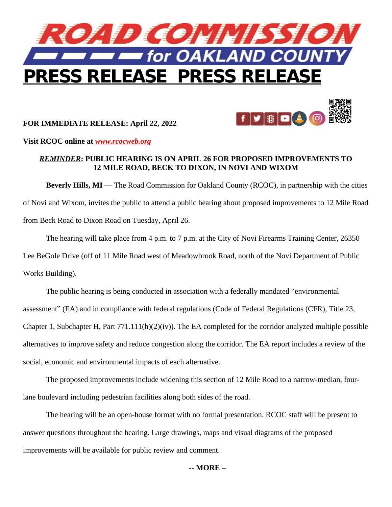

## **FOR IMMEDIATE RELEASE: April 22, 2022**



**Visit RCOC online at** *[www.rcocweb.org](http://www.rcocweb.org)*

## *REMINDER***: PUBLIC HEARING IS ON APRIL 26 FOR PROPOSED IMPROVEMENTS TO 12 MILE ROAD, BECK TO DIXON, IN NOVI AND WIXOM**

**Beverly Hills, MI —** The Road Commission for Oakland County (RCOC), in partnership with the cities of Novi and Wixom, invites the public to attend a public hearing about proposed improvements to 12 Mile Road from Beck Road to Dixon Road on Tuesday, April 26.

The hearing will take place from 4 p.m. to 7 p.m. at the City of Novi Firearms Training Center, 26350 Lee BeGole Drive (off of 11 Mile Road west of Meadowbrook Road, north of the Novi Department of Public Works Building).

The public hearing is being conducted in association with a federally mandated "environmental assessment" (EA) and in compliance with federal regulations (Code of Federal Regulations (CFR), Title 23, Chapter 1, Subchapter H, Part  $771.111(h)(2)(iv)$ . The EA completed for the corridor analyzed multiple possible alternatives to improve safety and reduce congestion along the corridor. The EA report includes a review of the social, economic and environmental impacts of each alternative.

The proposed improvements include widening this section of 12 Mile Road to a narrow-median, fourlane boulevard including pedestrian facilities along both sides of the road.

The hearing will be an open-house format with no formal presentation. RCOC staff will be present to answer questions throughout the hearing. Large drawings, maps and visual diagrams of the proposed improvements will be available for public review and comment.